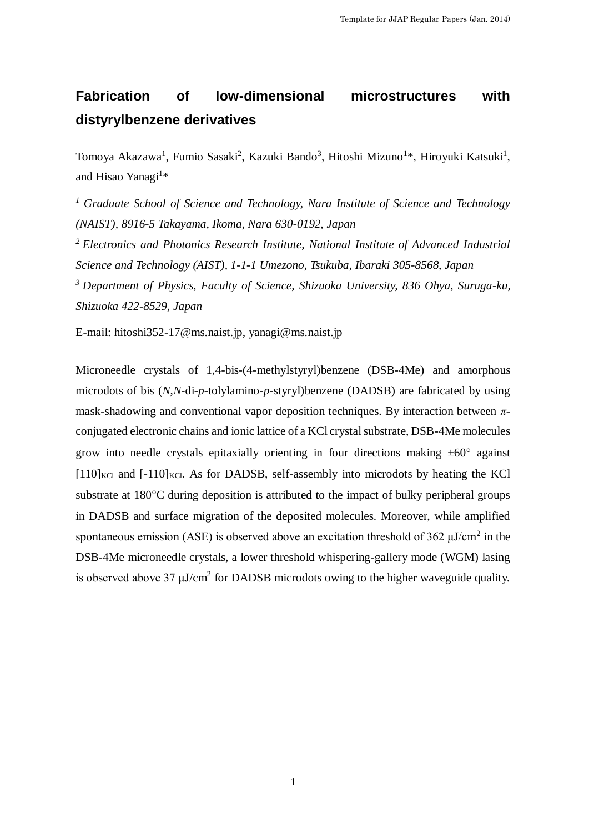# **Fabrication of low-dimensional microstructures with distyrylbenzene derivatives**

Tomoya Akazawa<sup>1</sup>, Fumio Sasaki<sup>2</sup>, Kazuki Bando<sup>3</sup>, Hitoshi Mizuno<sup>1\*</sup>, Hiroyuki Katsuki<sup>1</sup>, and Hisao Yanagi<sup>1\*</sup>

*<sup>1</sup> Graduate School of Science and Technology, Nara Institute of Science and Technology (NAIST), 8916-5 Takayama, Ikoma, Nara 630-0192, Japan*

*<sup>2</sup>Electronics and Photonics Research Institute, National Institute of Advanced Industrial Science and Technology (AIST), 1-1-1 Umezono, Tsukuba, Ibaraki 305-8568, Japan*

*<sup>3</sup> Department of Physics, Faculty of Science, Shizuoka University, 836 Ohya, Suruga-ku, Shizuoka 422-8529, Japan*

E-mail: hitoshi352-17@ms.naist.jp, yanagi@ms.naist.jp

Microneedle crystals of 1,4-bis-(4-methylstyryl)benzene (DSB-4Me) and amorphous microdots of bis (*N*,*N*-di-*p*-tolylamino-*p*-styryl)benzene (DADSB) are fabricated by using mask-shadowing and conventional vapor deposition techniques. By interaction between *π*conjugated electronic chains and ionic lattice of a KCl crystal substrate, DSB-4Me molecules grow into needle crystals epitaxially orienting in four directions making  $\pm 60^\circ$  against  $[110]_{\text{KCl}}$  and  $[-110]_{\text{KCl}}$ . As for DADSB, self-assembly into microdots by heating the KCl substrate at  $180^{\circ}$ C during deposition is attributed to the impact of bulky peripheral groups in DADSB and surface migration of the deposited molecules. Moreover, while amplified spontaneous emission (ASE) is observed above an excitation threshold of 362  $\mu$ J/cm<sup>2</sup> in the DSB-4Me microneedle crystals, a lower threshold whispering-gallery mode (WGM) lasing is observed above 37  $\mu$ J/cm<sup>2</sup> for DADSB microdots owing to the higher waveguide quality.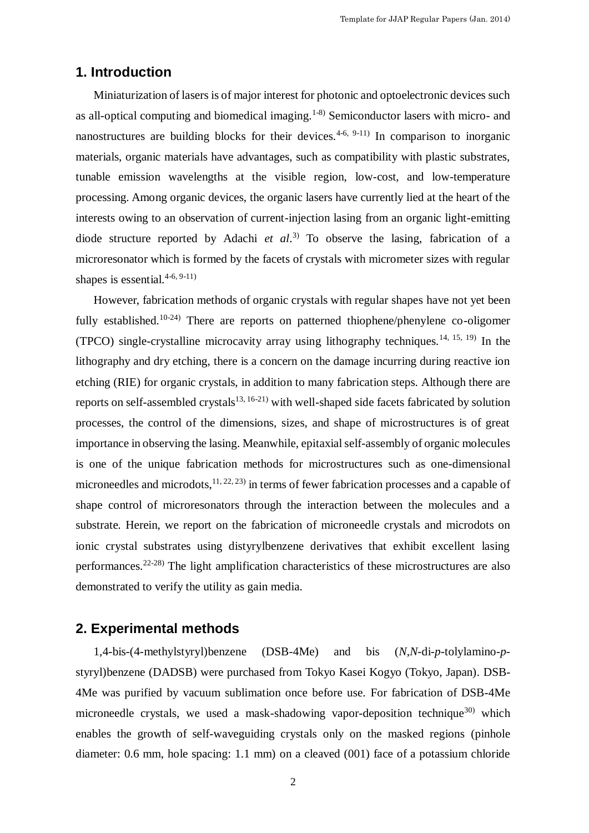# **1. Introduction**

Miniaturization of lasers is of major interest for photonic and optoelectronic devices such as all-optical computing and biomedical imaging.1-8) Semiconductor lasers with micro- and nanostructures are building blocks for their devices.<sup>4-6, 9-11)</sup> In comparison to inorganic materials, organic materials have advantages, such as compatibility with plastic substrates, tunable emission wavelengths at the visible region, low-cost, and low-temperature processing. Among organic devices, the organic lasers have currently lied at the heart of the interests owing to an observation of current-injection lasing from an organic light-emitting diode structure reported by Adachi *et al*. 3) To observe the lasing, fabrication of a microresonator which is formed by the facets of crystals with micrometer sizes with regular shapes is essential. $4-6, 9-11$ 

However, fabrication methods of organic crystals with regular shapes have not yet been fully established.<sup>10-24)</sup> There are reports on patterned thiophene/phenylene co-oligomer (TPCO) single-crystalline microcavity array using lithography techniques.14, 15, 19) In the lithography and dry etching, there is a concern on the damage incurring during reactive ion etching (RIE) for organic crystals, in addition to many fabrication steps. Although there are reports on self-assembled crystals<sup>13, 16-21)</sup> with well-shaped side facets fabricated by solution processes, the control of the dimensions, sizes, and shape of microstructures is of great importance in observing the lasing. Meanwhile, epitaxial self-assembly of organic molecules is one of the unique fabrication methods for microstructures such as one-dimensional microneedles and microdots,  $11, 22, 23$  in terms of fewer fabrication processes and a capable of shape control of microresonators through the interaction between the molecules and a substrate. Herein, we report on the fabrication of microneedle crystals and microdots on ionic crystal substrates using distyrylbenzene derivatives that exhibit excellent lasing performances.22-28) The light amplification characteristics of these microstructures are also demonstrated to verify the utility as gain media.

## **2. Experimental methods**

1,4-bis-(4-methylstyryl)benzene (DSB-4Me) and bis (*N*,*N*-di-*p*-tolylamino-*p*styryl)benzene (DADSB) were purchased from Tokyo Kasei Kogyo (Tokyo, Japan). DSB-4Me was purified by vacuum sublimation once before use. For fabrication of DSB-4Me microneedle crystals, we used a mask-shadowing vapor-deposition technique<sup>30)</sup> which enables the growth of self-waveguiding crystals only on the masked regions (pinhole diameter: 0.6 mm, hole spacing: 1.1 mm) on a cleaved (001) face of a potassium chloride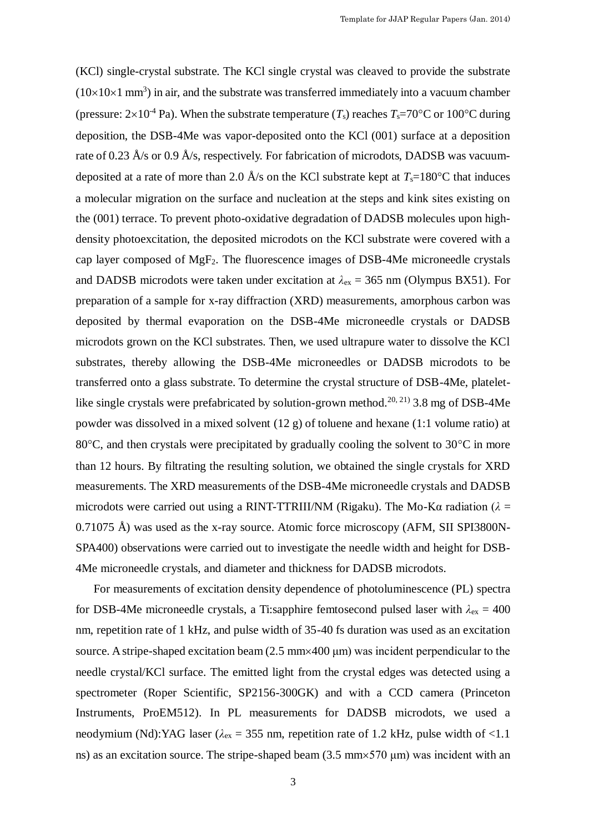(KCl) single-crystal substrate. The KCl single crystal was cleaved to provide the substrate  $(10\times10\times1$  mm<sup>3</sup>) in air, and the substrate was transferred immediately into a vacuum chamber (pressure:  $2\times10^{-4}$  Pa). When the substrate temperature (*T<sub>s</sub>*) reaches *T<sub>s</sub>*=70°C or 100°C during deposition, the DSB-4Me was vapor-deposited onto the KCl (001) surface at a deposition rate of 0.23 Å/s or 0.9 Å/s, respectively. For fabrication of microdots, DADSB was vacuumdeposited at a rate of more than 2.0  $\AA$ /s on the KCl substrate kept at  $T_s=180^{\circ}\text{C}$  that induces a molecular migration on the surface and nucleation at the steps and kink sites existing on the (001) terrace. To prevent photo-oxidative degradation of DADSB molecules upon highdensity photoexcitation, the deposited microdots on the KCl substrate were covered with a cap layer composed of MgF2. The fluorescence images of DSB-4Me microneedle crystals and DADSB microdots were taken under excitation at  $\lambda_{\rm ex} = 365$  nm (Olympus BX51). For preparation of a sample for x-ray diffraction (XRD) measurements, amorphous carbon was deposited by thermal evaporation on the DSB-4Me microneedle crystals or DADSB microdots grown on the KCl substrates. Then, we used ultrapure water to dissolve the KCl substrates, thereby allowing the DSB-4Me microneedles or DADSB microdots to be transferred onto a glass substrate. To determine the crystal structure of DSB-4Me, plateletlike single crystals were prefabricated by solution-grown method.<sup>20, 21</sup> 3.8 mg of DSB-4Me powder was dissolved in a mixed solvent (12 g) of toluene and hexane (1:1 volume ratio) at 80 $^{\circ}$ C, and then crystals were precipitated by gradually cooling the solvent to 30 $^{\circ}$ C in more than 12 hours. By filtrating the resulting solution, we obtained the single crystals for XRD measurements. The XRD measurements of the DSB-4Me microneedle crystals and DADSB microdots were carried out using a RINT-TTRIII/NM (Rigaku). The Mo-K $\alpha$  radiation ( $\lambda$  = 0.71075 Å) was used as the x-ray source. Atomic force microscopy (AFM, SII SPI3800N-SPA400) observations were carried out to investigate the needle width and height for DSB-4Me microneedle crystals, and diameter and thickness for DADSB microdots.

For measurements of excitation density dependence of photoluminescence (PL) spectra for DSB-4Me microneedle crystals, a Ti:sapphire femtosecond pulsed laser with  $\lambda_{\text{ex}} = 400$ nm, repetition rate of 1 kHz, and pulse width of 35-40 fs duration was used as an excitation source. A stripe-shaped excitation beam  $(2.5 \text{ mm} \times 400 \text{ µm})$  was incident perpendicular to the needle crystal/KCl surface. The emitted light from the crystal edges was detected using a spectrometer (Roper Scientific, SP2156-300GK) and with a CCD camera (Princeton Instruments, ProEM512). In PL measurements for DADSB microdots, we used a neodymium (Nd):YAG laser ( $\lambda_{\text{ex}}$  = 355 nm, repetition rate of 1.2 kHz, pulse width of <1.1 ns) as an excitation source. The stripe-shaped beam  $(3.5 \text{ mm} \times 570 \text{ \mu m})$  was incident with an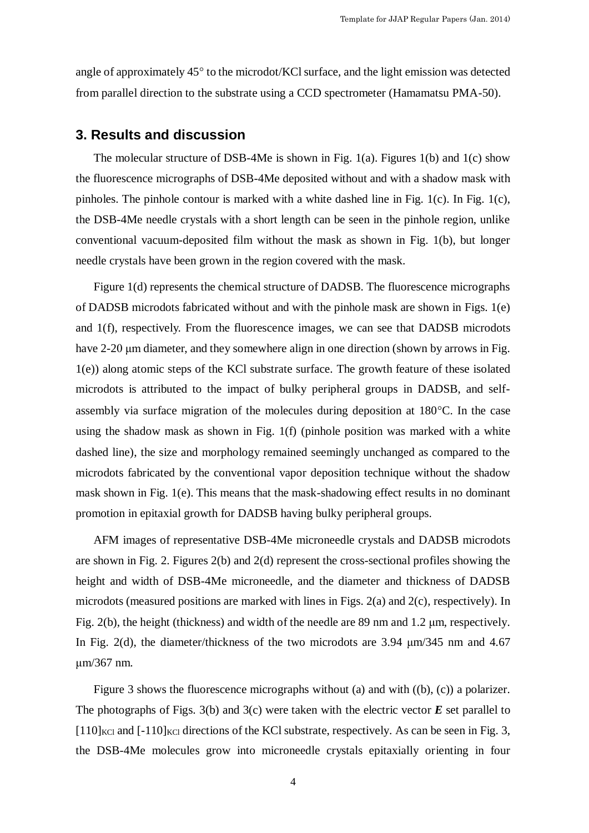angle of approximately  $45^{\circ}$  to the microdot/KCl surface, and the light emission was detected from parallel direction to the substrate using a CCD spectrometer (Hamamatsu PMA-50).

### **3. Results and discussion**

The molecular structure of DSB-4Me is shown in Fig. 1(a). Figures 1(b) and 1(c) show the fluorescence micrographs of DSB-4Me deposited without and with a shadow mask with pinholes. The pinhole contour is marked with a white dashed line in Fig. 1(c). In Fig. 1(c), the DSB-4Me needle crystals with a short length can be seen in the pinhole region, unlike conventional vacuum-deposited film without the mask as shown in Fig. 1(b), but longer needle crystals have been grown in the region covered with the mask.

Figure 1(d) represents the chemical structure of DADSB. The fluorescence micrographs of DADSB microdots fabricated without and with the pinhole mask are shown in Figs. 1(e) and 1(f), respectively. From the fluorescence images, we can see that DADSB microdots have 2-20 μm diameter, and they somewhere align in one direction (shown by arrows in Fig. 1(e)) along atomic steps of the KCl substrate surface. The growth feature of these isolated microdots is attributed to the impact of bulky peripheral groups in DADSB, and selfassembly via surface migration of the molecules during deposition at  $180^{\circ}$ C. In the case using the shadow mask as shown in Fig. 1(f) (pinhole position was marked with a white dashed line), the size and morphology remained seemingly unchanged as compared to the microdots fabricated by the conventional vapor deposition technique without the shadow mask shown in Fig. 1(e). This means that the mask-shadowing effect results in no dominant promotion in epitaxial growth for DADSB having bulky peripheral groups.

AFM images of representative DSB-4Me microneedle crystals and DADSB microdots are shown in Fig. 2. Figures  $2(b)$  and  $2(d)$  represent the cross-sectional profiles showing the height and width of DSB-4Me microneedle, and the diameter and thickness of DADSB microdots (measured positions are marked with lines in Figs. 2(a) and 2(c), respectively). In Fig. 2(b), the height (thickness) and width of the needle are 89 nm and 1.2 μm, respectively. In Fig. 2(d), the diameter/thickness of the two microdots are 3.94 μm/345 nm and 4.67 μm/367 nm.

Figure 3 shows the fluorescence micrographs without (a) and with ((b), (c)) a polarizer. The photographs of Figs. 3(b) and 3(c) were taken with the electric vector *E* set parallel to  $[110]_{\text{KCl}}$  and  $[-110]_{\text{KCl}}$  directions of the KCl substrate, respectively. As can be seen in Fig. 3, the DSB-4Me molecules grow into microneedle crystals epitaxially orienting in four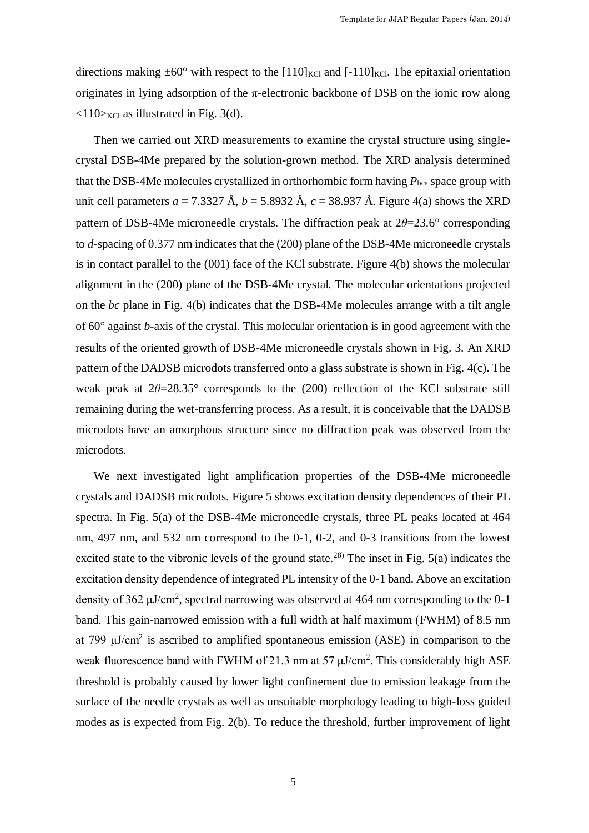directions making  $\pm 60^{\circ}$  with respect to the [110]<sub>KCl</sub> and [-110]<sub>KCl</sub>. The epitaxial orientation originates in lying adsorption of the  $\pi$ -electronic backbone of DSB on the ionic row along  $\langle 110 \rangle_{\text{KCl}}$  as illustrated in Fig. 3(d).

Then we carried out XRD measurements to examine the crystal structure using singlecrystal DSB-4Me prepared by the solution-grown method. The XRD analysis determined that the DSB-4Me molecules crystallized in orthorhombic form having  $P_{bca}$  space group with unit cell parameters  $a = 7.3327 \text{ Å}$ ,  $b = 5.8932 \text{ Å}$ ,  $c = 38.937 \text{ Å}$ . Figure 4(a) shows the XRD pattern of DSB-4Me microneedle crystals. The diffraction peak at  $2\theta = 23.6^{\circ}$  corresponding to *d*-spacing of 0.377 nm indicates that the (200) plane of the DSB-4Me microneedle crystals is in contact parallel to the (001) face of the KCl substrate. Figure 4(b) shows the molecular alignment in the (200) plane of the DSB-4Me crystal. The molecular orientations projected on the *bc* plane in Fig. 4(b) indicates that the DSB-4Me molecules arrange with a tilt angle of 60<sup>°</sup> against *b*-axis of the crystal. This molecular orientation is in good agreement with the results of the oriented growth of DSB-4Me microneedle crystals shown in Fig. 3. An XRD pattern of the DADSB microdots transferred onto a glass substrate is shown in Fig. 4(c). The weak peak at  $2\theta = 28.35^{\circ}$  corresponds to the (200) reflection of the KCl substrate still remaining during the wet-transferring process. As a result, it is conceivable that the DADSB microdots have an amorphous structure since no diffraction peak was observed from the microdots.

We next investigated light amplification properties of the DSB-4Me microneedle crystals and DADSB microdots. Figure 5 shows excitation density dependences of their PL spectra. In Fig. 5(a) of the DSB-4Me microneedle crystals, three PL peaks located at 464 nm, 497 nm, and 532 nm correspond to the 0-1, 0-2, and 0-3 transitions from the lowest excited state to the vibronic levels of the ground state.<sup>28)</sup> The inset in Fig.  $5(a)$  indicates the excitation density dependence of integrated PL intensity of the 0-1 band. Above an excitation density of 362 μJ/cm<sup>2</sup>, spectral narrowing was observed at 464 nm corresponding to the 0-1 band. This gain-narrowed emission with a full width at half maximum (FWHM) of 8.5 nm at 799  $\mu$ J/cm<sup>2</sup> is ascribed to amplified spontaneous emission (ASE) in comparison to the weak fluorescence band with FWHM of 21.3 nm at 57  $\mu$ J/cm<sup>2</sup>. This considerably high ASE threshold is probably caused by lower light confinement due to emission leakage from the surface of the needle crystals as well as unsuitable morphology leading to high-loss guided modes as is expected from Fig. 2(b). To reduce the threshold, further improvement of light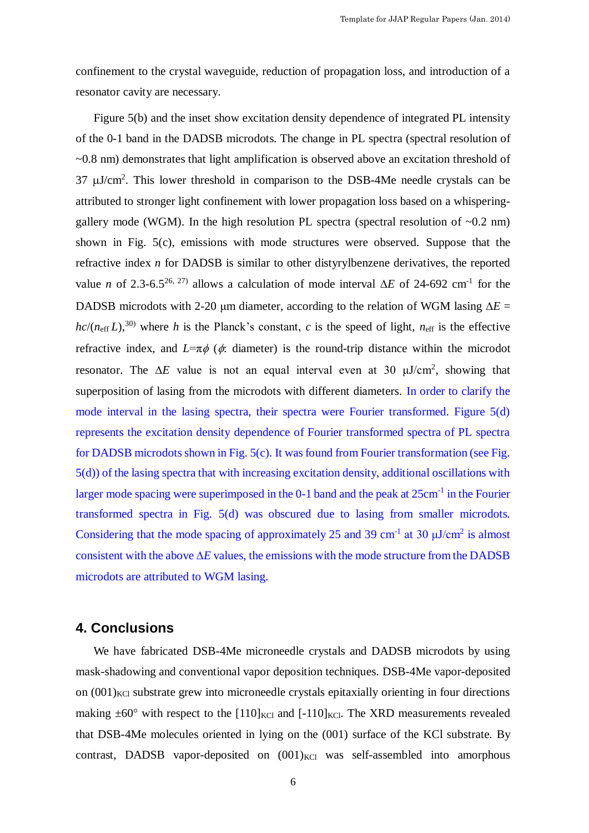confinement to the crystal waveguide, reduction of propagation loss, and introduction of a resonator cavity are necessary.

Figure 5(b) and the inset show excitation density dependence of integrated PL intensity of the 0-1 band in the DADSB microdots. The change in PL spectra (spectral resolution of ~0.8 nm) demonstrates that light amplification is observed above an excitation threshold of  $37 \mu J/cm^2$ . This lower threshold in comparison to the DSB-4Me needle crystals can be attributed to stronger light confinement with lower propagation loss based on a whisperinggallery mode (WGM). In the high resolution PL spectra (spectral resolution of  $\sim 0.2$  nm) shown in Fig. 5(c), emissions with mode structures were observed. Suppose that the refractive index *n* for DADSB is similar to other distyrylbenzene derivatives, the reported value *n* of 2.3-6.5<sup>26, 27)</sup> allows a calculation of mode interval  $\Delta E$  of 24-692 cm<sup>-1</sup> for the DADSB microdots with 2-20  $\mu$ m diameter, according to the relation of WGM lasing  $\Delta E =$  $hc/(n_{\text{eff}} L)$ ,<sup>30)</sup> where *h* is the Planck's constant, *c* is the speed of light,  $n_{\text{eff}}$  is the effective refractive index, and  $L=\pi\phi$  ( $\phi$ : diameter) is the round-trip distance within the microdot resonator. The  $\Delta E$  value is not an equal interval even at 30  $\mu$ J/cm<sup>2</sup>, showing that superposition of lasing from the microdots with different diameters. In order to clarify the mode interval in the lasing spectra, their spectra were Fourier transformed. Figure 5(d) represents the excitation density dependence of Fourier transformed spectra of PL spectra for DADSB microdots shown in Fig. 5(c). It was found from Fourier transformation (see Fig. 5(d)) of the lasing spectra that with increasing excitation density, additional oscillations with larger mode spacing were superimposed in the 0-1 band and the peak at  $25 \text{cm}^{-1}$  in the Fourier transformed spectra in Fig. 5(d) was obscured due to lasing from smaller microdots. Considering that the mode spacing of approximately 25 and 39 cm<sup>-1</sup> at 30  $\mu$ J/cm<sup>2</sup> is almost consistent with the above  $\Delta E$  values, the emissions with the mode structure from the DADSB microdots are attributed to WGM lasing.

#### **4. Conclusions**

We have fabricated DSB-4Me microneedle crystals and DADSB microdots by using mask-shadowing and conventional vapor deposition techniques. DSB-4Me vapor-deposited on  $(001)_{\text{KC}}$  substrate grew into microneedle crystals epitaxially orienting in four directions making  $\pm 60^\circ$  with respect to the  $[110]_{\text{KCl}}$  and  $[-110]_{\text{KCl}}$ . The XRD measurements revealed that DSB-4Me molecules oriented in lying on the (001) surface of the KCl substrate. By contrast, DADSB vapor-deposited on  $(001)_{KCl}$  was self-assembled into amorphous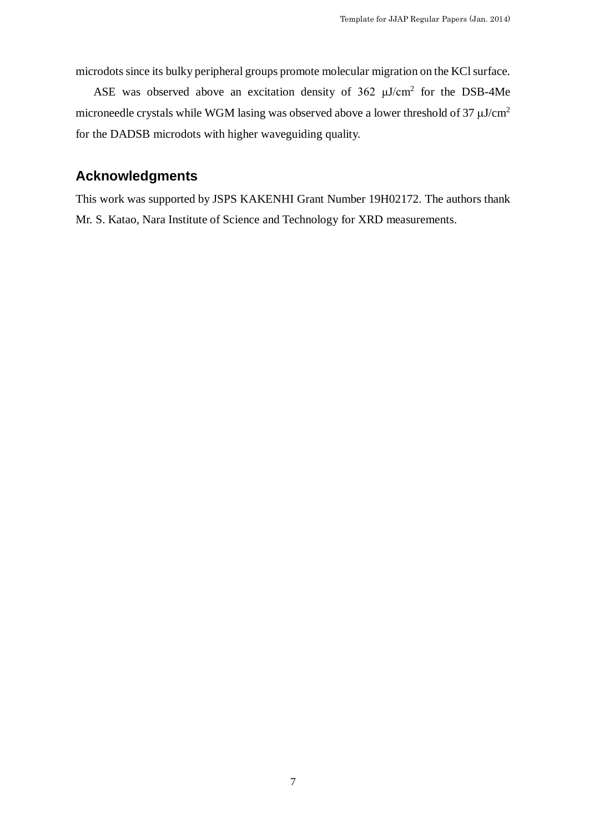microdots since its bulky peripheral groups promote molecular migration on the KCl surface.

ASE was observed above an excitation density of  $362 \mu J/cm^2$  for the DSB-4Me microneedle crystals while WGM lasing was observed above a lower threshold of 37  $\mu\mathrm{J/cm^2}$ for the DADSB microdots with higher waveguiding quality.

# **Acknowledgments**

This work was supported by JSPS KAKENHI Grant Number 19H02172. The authors thank Mr. S. Katao, Nara Institute of Science and Technology for XRD measurements.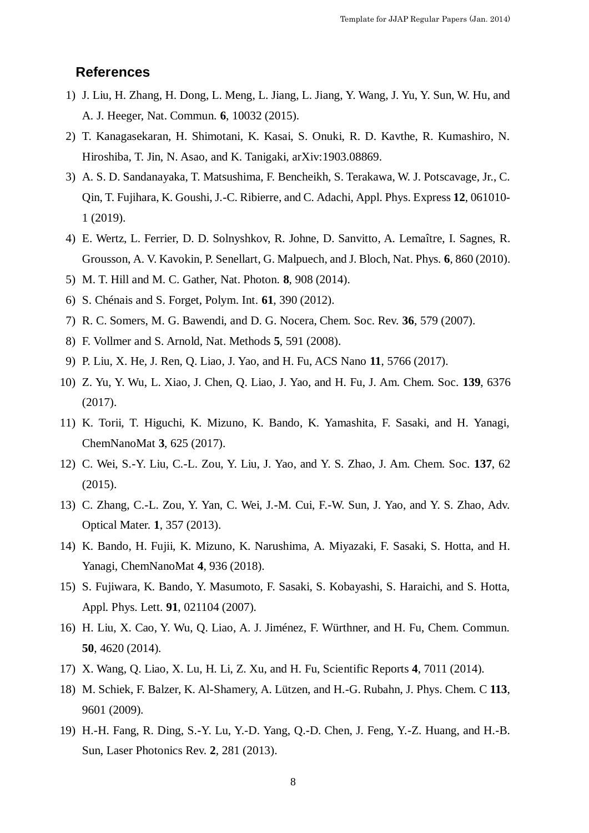## **References**

- 1) J. Liu, H. Zhang, H. Dong, L. Meng, L. Jiang, L. Jiang, Y. Wang, J. Yu, Y. Sun, W. Hu, and A. J. Heeger, Nat. Commun. **6**, 10032 (2015).
- 2) T. Kanagasekaran, H. Shimotani, K. Kasai, S. Onuki, R. D. Kavthe, R. Kumashiro, N. Hiroshiba, T. Jin, N. Asao, and K. Tanigaki, arXiv:1903.08869.
- 3) A. S. D. Sandanayaka, T. Matsushima, F. Bencheikh, S. Terakawa, W. J. Potscavage, Jr., C. Qin, T. Fujihara, K. Goushi, J.-C. Ribierre, and C. Adachi, Appl. Phys. Express **12**, 061010- 1 (2019).
- 4) E. Wertz, L. Ferrier, D. D. Solnyshkov, R. Johne, D. Sanvitto, A. Lemaître, I. Sagnes, R. Grousson, A. V. Kavokin, P. Senellart, G. Malpuech, and J. Bloch, Nat. Phys. **6**, 860 (2010).
- 5) M. T. Hill and M. C. Gather, Nat. Photon. **8**, 908 (2014).
- 6) S. Chénais and S. Forget, Polym. Int. **61**, 390 (2012).
- 7) R. C. Somers, M. G. Bawendi, and D. G. Nocera, Chem. Soc. Rev. **36**, 579 (2007).
- 8) F. Vollmer and S. Arnold, Nat. Methods **5**, 591 (2008).
- 9) P. Liu, X. He, J. Ren, Q. Liao, J. Yao, and H. Fu, ACS Nano **11**, 5766 (2017).
- 10) Z. Yu, Y. Wu, L. Xiao, J. Chen, Q. Liao, J. Yao, and H. Fu, J. Am. Chem. Soc. **139**, 6376 (2017).
- 11) K. Torii, T. Higuchi, K. Mizuno, K. Bando, K. Yamashita, F. Sasaki, and H. Yanagi, ChemNanoMat **3**, 625 (2017).
- 12) C. Wei, S.-Y. Liu, C.-L. Zou, Y. Liu, J. Yao, and Y. S. Zhao, J. Am. Chem. Soc. **137**, 62 (2015).
- 13) C. Zhang, C.-L. Zou, Y. Yan, C. Wei, J.-M. Cui, F.-W. Sun, J. Yao, and Y. S. Zhao, Adv. Optical Mater. **1**, 357 (2013).
- 14) K. Bando, H. Fujii, K. Mizuno, K. Narushima, A. Miyazaki, F. Sasaki, S. Hotta, and H. Yanagi, ChemNanoMat **4**, 936 (2018).
- 15) S. Fujiwara, K. Bando, Y. Masumoto, F. Sasaki, S. Kobayashi, S. Haraichi, and S. Hotta, Appl. Phys. Lett. **91**, 021104 (2007).
- 16) H. Liu, X. Cao, Y. Wu, Q. Liao, A. J. Jiménez, F. Würthner, and H. Fu, Chem. Commun. **50**, 4620 (2014).
- 17) X. Wang, Q. Liao, X. Lu, H. Li, Z. Xu, and H. Fu, Scientific Reports **4**, 7011 (2014).
- 18) M. Schiek, F. Balzer, K. Al-Shamery, A. Lützen, and H.-G. Rubahn, J. Phys. Chem. C **113**, 9601 (2009).
- 19) H.-H. Fang, R. Ding, S.-Y. Lu, Y.-D. Yang, Q.-D. Chen, J. Feng, Y.-Z. Huang, and H.-B. Sun, Laser Photonics Rev. **2**, 281 (2013).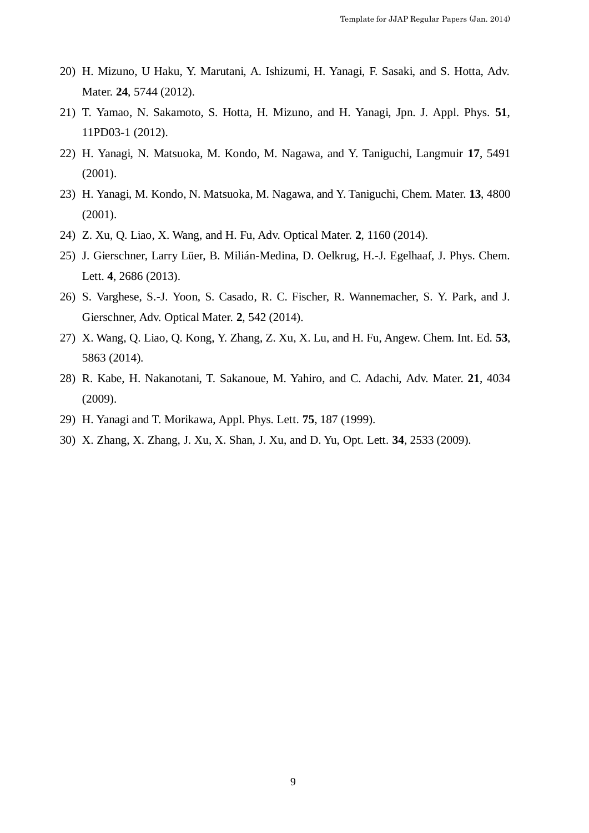- 20) H. Mizuno, U Haku, Y. Marutani, A. Ishizumi, H. Yanagi, F. Sasaki, and S. Hotta, Adv. Mater. **24**, 5744 (2012).
- 21) T. Yamao, N. Sakamoto, S. Hotta, H. Mizuno, and H. Yanagi, Jpn. J. Appl. Phys. **51**, 11PD03-1 (2012).
- 22) H. Yanagi, N. Matsuoka, M. Kondo, M. Nagawa, and Y. Taniguchi, Langmuir **17**, 5491 (2001).
- 23) H. Yanagi, M. Kondo, N. Matsuoka, M. Nagawa, and Y. Taniguchi, Chem. Mater. **13**, 4800 (2001).
- 24) Z. Xu, Q. Liao, X. Wang, and H. Fu, Adv. Optical Mater. **2**, 1160 (2014).
- 25) J. Gierschner, Larry Lüer, B. Milián-Medina, D. Oelkrug, H.-J. Egelhaaf, J. Phys. Chem. Lett. **4**, 2686 (2013).
- 26) S. Varghese, S.-J. Yoon, S. Casado, R. C. Fischer, R. Wannemacher, S. Y. Park, and J. Gierschner, Adv. Optical Mater. **2**, 542 (2014).
- 27) X. Wang, Q. Liao, Q. Kong, Y. Zhang, Z. Xu, X. Lu, and H. Fu, Angew. Chem. Int. Ed. **53**, 5863 (2014).
- 28) R. Kabe, H. Nakanotani, T. Sakanoue, M. Yahiro, and C. Adachi, Adv. Mater. **21**, 4034 (2009).
- 29) H. Yanagi and T. Morikawa, Appl. Phys. Lett. **75**, 187 (1999).
- 30) X. Zhang, X. Zhang, J. Xu, X. Shan, J. Xu, and D. Yu, Opt. Lett. **34**, 2533 (2009).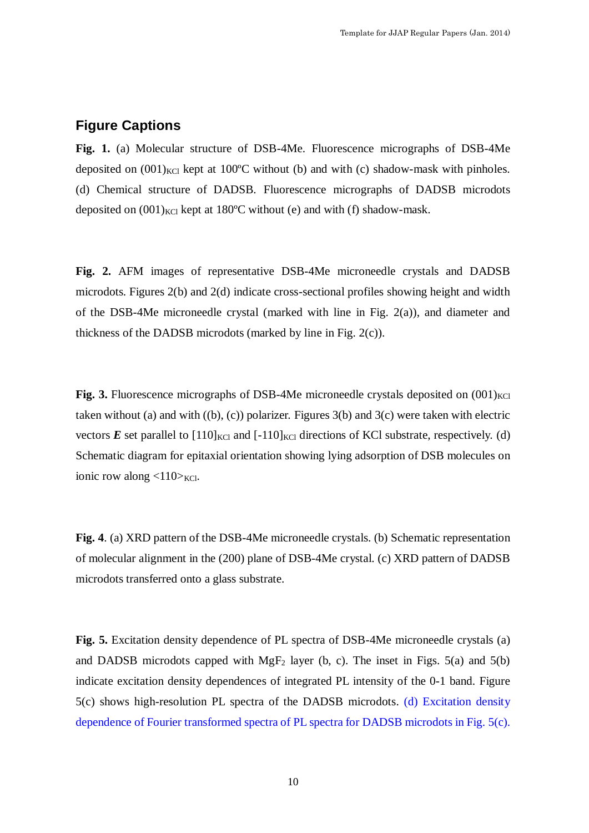# **Figure Captions**

**Fig. 1.** (a) Molecular structure of DSB-4Me. Fluorescence micrographs of DSB-4Me deposited on  $(001)_{KCL}$  kept at 100<sup>o</sup>C without (b) and with (c) shadow-mask with pinholes. (d) Chemical structure of DADSB. Fluorescence micrographs of DADSB microdots deposited on  $(001)_{\text{KCl}}$  kept at 180°C without (e) and with (f) shadow-mask.

**Fig. 2.** AFM images of representative DSB-4Me microneedle crystals and DADSB microdots. Figures 2(b) and 2(d) indicate cross-sectional profiles showing height and width of the DSB-4Me microneedle crystal (marked with line in Fig. 2(a)), and diameter and thickness of the DADSB microdots (marked by line in Fig. 2(c)).

**Fig. 3.** Fluorescence micrographs of DSB-4Me microneedle crystals deposited on  $(001)_{\text{KCl}}$ taken without (a) and with  $((b), (c))$  polarizer. Figures 3(b) and 3(c) were taken with electric vectors  $\vec{E}$  set parallel to  $[110]_{\text{KCl}}$  and  $[-110]_{\text{KCl}}$  directions of KCl substrate, respectively. (d) Schematic diagram for epitaxial orientation showing lying adsorption of DSB molecules on ionic row along  $\langle 110 \rangle_{\text{KCl}}$ .

**Fig. 4**. (a) XRD pattern of the DSB-4Me microneedle crystals. (b) Schematic representation of molecular alignment in the (200) plane of DSB-4Me crystal. (c) XRD pattern of DADSB microdots transferred onto a glass substrate.

**Fig. 5.** Excitation density dependence of PL spectra of DSB-4Me microneedle crystals (a) and DADSB microdots capped with  $MgF_2$  layer (b, c). The inset in Figs. 5(a) and 5(b) indicate excitation density dependences of integrated PL intensity of the 0-1 band. Figure 5(c) shows high-resolution PL spectra of the DADSB microdots. (d) Excitation density dependence of Fourier transformed spectra of PL spectra for DADSB microdots in Fig. 5(c).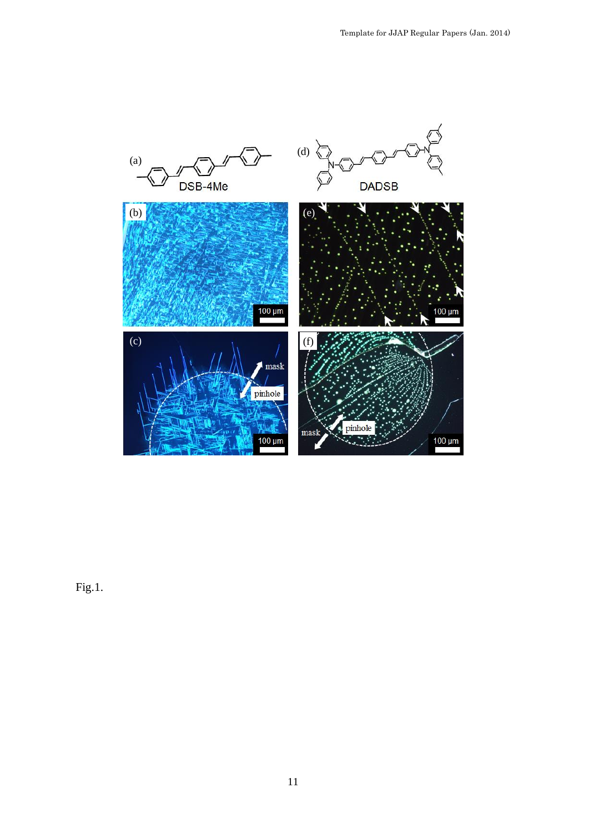

Fig.1.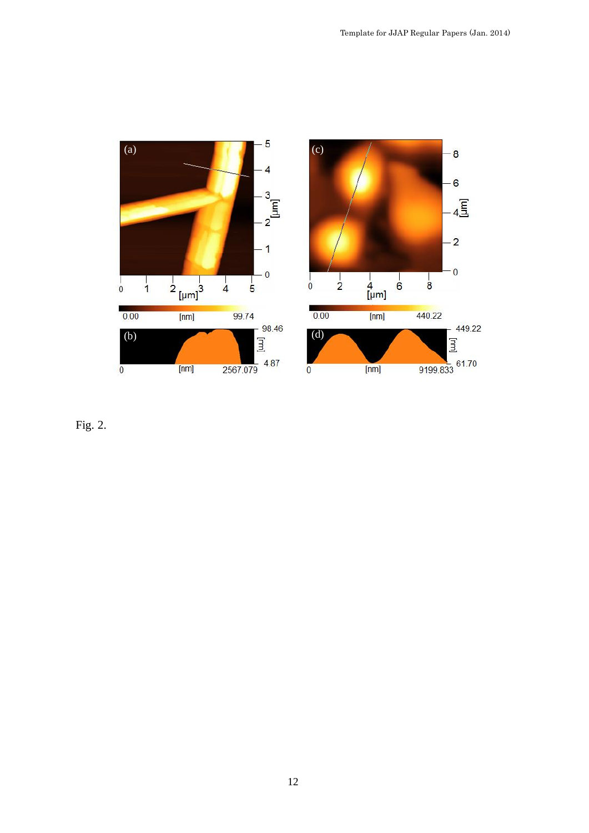

Fig. 2.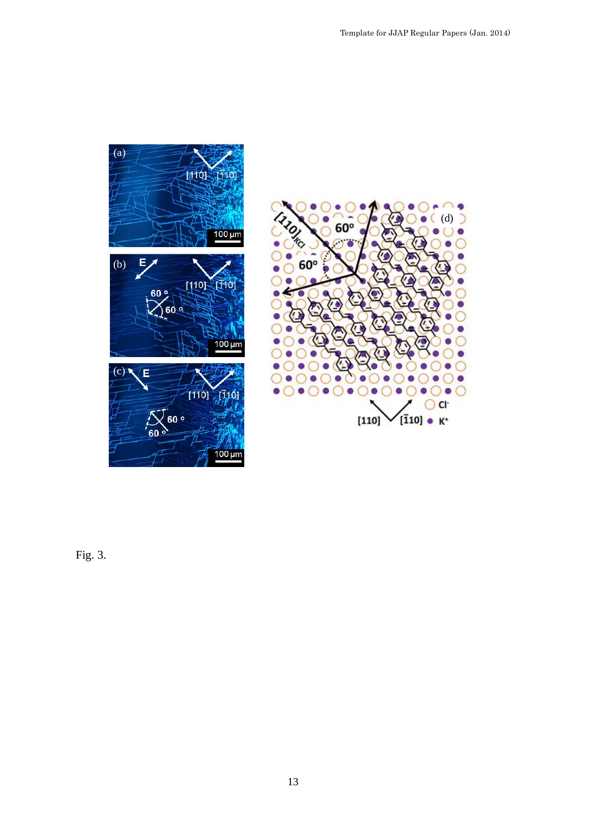



Fig. 3.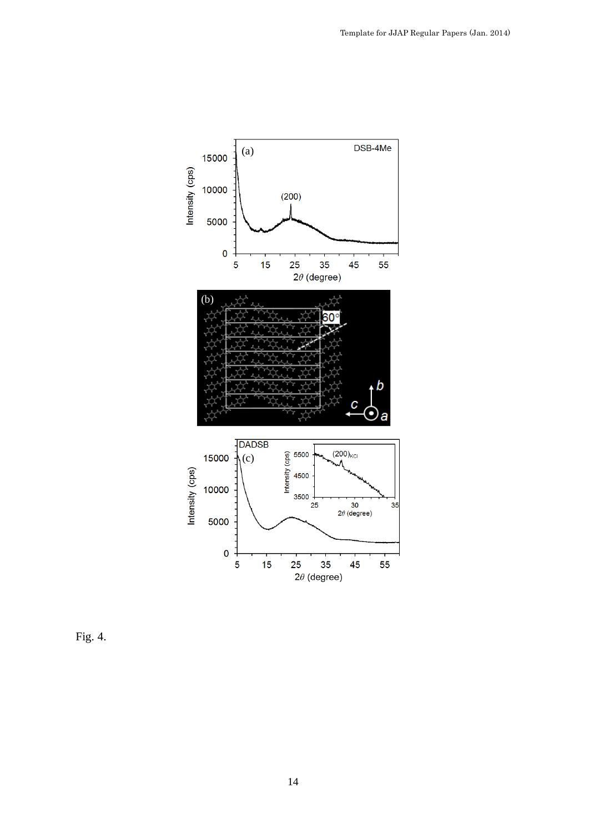

Fig. 4.